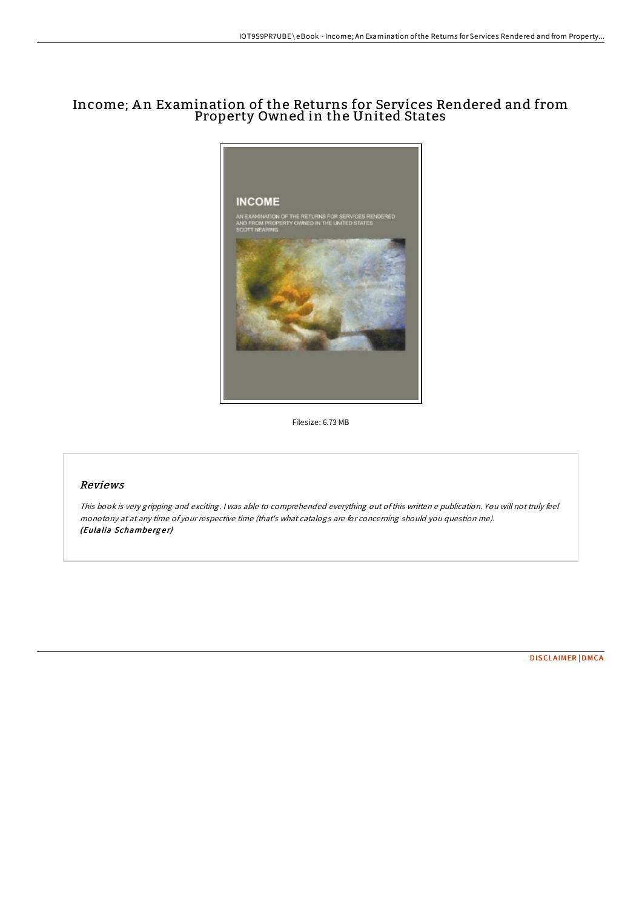## Income; A n Examination of the Returns for Services Rendered and from Property Owned in the United States



Filesize: 6.73 MB

## Reviews

This book is very gripping and exciting. <sup>I</sup> was able to comprehended everything out ofthis written <sup>e</sup> publication. You will not truly feel monotony at at any time of your respective time (that's what catalogs are for concerning should you question me). (Eulalia Schamberger)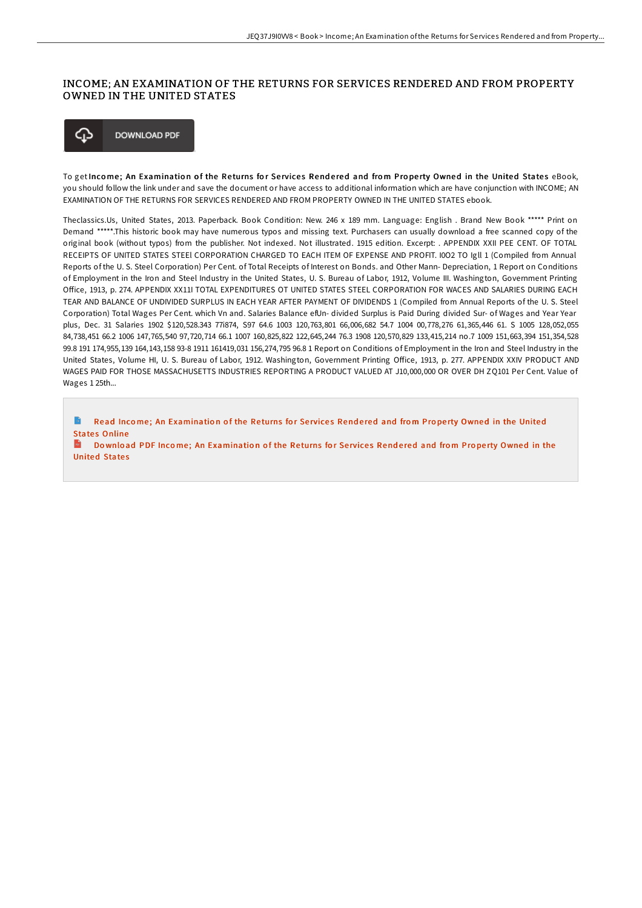## INCOME; AN EXAMINATION OF THE RETURNS FOR SERVICES RENDERED AND FROM PROPERTY OWNED IN THE UNITED STATES



To getIncome; An Examination of the Returns for Services Rendered and from Property Owned in the United States eBook, you should follow the link under and save the document or have access to additional information which are have conjunction with INCOME; AN EXAMINATION OF THE RETURNS FOR SERVICES RENDERED AND FROM PROPERTY OWNED IN THE UNITED STATES ebook.

Theclassics.Us, United States, 2013. Paperback. Book Condition: New. 246 x 189 mm. Language: English . Brand New Book \*\*\*\*\* Print on Demand \*\*\*\*\*.This historic book may have numerous typos and missing text. Purchasers can usually download a free scanned copy of the original book (without typos) from the publisher. Not indexed. Not illustrated. 1915 edition. Excerpt: . APPENDIX XXII PEE CENT. OF TOTAL RECEIPTS OF UNITED STATES STEEl CORPORATION CHARGED TO EACH ITEM OF EXPENSE AND PROFIT. I0O2 TO Igll 1 (Compiled from Annual Reports of the U. S. Steel Corporation) Per Cent. of Total Receipts of Interest on Bonds. and Other Mann- Depreciation, 1 Report on Conditions of Employment in the Iron and Steel Industry in the United States, U. S. Bureau of Labor, 1912, Volume III. Washington, Government Printing Office, 1913, p. 274. APPENDIX XX11I TOTAL EXPENDITURES OT UNITED STATES STEEL CORPORATION FOR WACES AND SALARIES DURING EACH TEAR AND BALANCE OF UNDIVIDED SURPLUS IN EACH YEAR AFTER PAYMENT OF DIVIDENDS 1 (Compiled from Annual Reports of the U. S. Steel Corporation) Total Wages Per Cent. which Vn and. Salaries Balance efUn- divided Surplus is Paid During divided Sur- of Wages and Year Year plus, Dec. 31 Salaries 1902 \$120,528.343 77i874, S97 64.6 1003 120,763,801 66,006,682 54.7 1004 00,778,276 61,365,446 61. S 1005 128,052,055 84,738,451 66.2 1006 147,765,540 97,720,714 66.1 1007 160,825,822 122,645,244 76.3 1908 120,570,829 133,415,214 no.7 1009 151,663,394 151,354,528 99.8 191 174,955,139 164,143,158 93-8 1911 161419,031 156,274,795 96.8 1 Report on Conditions of Employment in the Iron and Steel Industry in the United States, Volume HI, U. S. Bureau of Labor, 1912. Washington, Government Printing Office, 1913, p. 277. APPENDIX XXIV PRODUCT AND WAGES PAID FOR THOSE MASSACHUSETTS INDUSTRIES REPORTING A PRODUCT VALUED AT J10,000,000 OR OVER DH ZQ101 Per Cent. Value of Wages 1 25th...

Read Income; An [Examinatio](http://almighty24.tech/income-an-examination-of-the-returns-for-service.html)n of the Returns for Services Rendered and from Property Owned in the United States Online

**Inch** Download PDF Income; An [Examinatio](http://almighty24.tech/income-an-examination-of-the-returns-for-service.html)n of the Returns for Services Rendered and from Property Owned in the **United States**